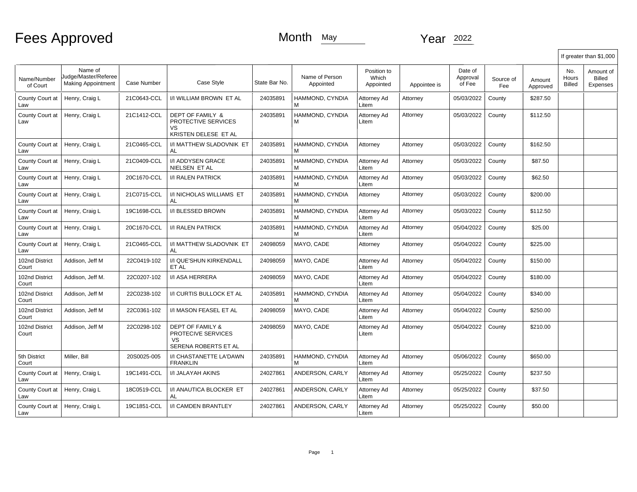## Fees Approved

## Month May Year 2022

|                         |                                                              |             |                                                                                 |               |                             |                                   |              |                               |                  |                    |                        | If greater than \$1,000         |
|-------------------------|--------------------------------------------------------------|-------------|---------------------------------------------------------------------------------|---------------|-----------------------------|-----------------------------------|--------------|-------------------------------|------------------|--------------------|------------------------|---------------------------------|
| Name/Number<br>of Court | Name of<br>Judge/Master/Referee<br><b>Making Appointment</b> | Case Number | Case Style                                                                      | State Bar No. | Name of Person<br>Appointed | Position to<br>Which<br>Appointed | Appointee is | Date of<br>Approval<br>of Fee | Source of<br>Fee | Amount<br>Approved | No.<br>Hours<br>Billed | Amount of<br>Billed<br>Expenses |
| County Court at<br>Law  | Henry, Craig L                                               | 21C0643-CCL | I/I WILLIAM BROWN ET AL                                                         | 24035891      | HAMMOND, CYNDIA<br>м        | Attorney Ad<br>Litem              | Attorney     | 05/03/2022                    | County           | \$287.50           |                        |                                 |
| County Court at<br>Law  | Henry, Craig L                                               | 21C1412-CCL | DEPT OF FAMILY &<br>PROTECTIVE SERVICES<br>VS<br>KRISTEN DELESE ET AL           | 24035891      | HAMMOND, CYNDIA<br>М        | Attorney Ad<br>Litem              | Attorney     | 05/03/2022                    | County           | \$112.50           |                        |                                 |
| County Court at<br>Law  | Henry, Craig L                                               | 21C0465-CCL | I/I MATTHEW SLADOVNIK ET<br>AL                                                  | 24035891      | HAMMOND, CYNDIA<br>М        | Attorney                          | Attorney     | 05/03/2022                    | County           | \$162.50           |                        |                                 |
| County Court at<br>Law  | Henry, Craig L                                               | 21C0409-CCL | I/I ADDYSEN GRACE<br>NIELSEN ET AL                                              | 24035891      | HAMMOND, CYNDIA<br>М        | Attorney Ad<br>Litem              | Attorney     | 05/03/2022                    | County           | \$87.50            |                        |                                 |
| County Court at<br>Law  | Henry, Craig L                                               | 20C1670-CCL | I/I RALEN PATRICK                                                               | 24035891      | HAMMOND, CYNDIA<br>м        | Attorney Ad<br>Litem              | Attorney     | 05/03/2022                    | County           | \$62.50            |                        |                                 |
| County Court at<br>Law  | Henry, Craig L                                               | 21C0715-CCL | I/I NICHOLAS WILLIAMS ET<br><b>AL</b>                                           | 24035891      | HAMMOND, CYNDIA<br>М        | Attorney                          | Attorney     | 05/03/2022                    | County           | \$200.00           |                        |                                 |
| County Court at<br>Law  | Henry, Craig L                                               | 19C1698-CCL | I/I BLESSED BROWN                                                               | 24035891      | HAMMOND, CYNDIA<br>М        | Attorney Ad<br>Litem              | Attorney     | 05/03/2022                    | County           | \$112.50           |                        |                                 |
| County Court at<br>Law  | Henry, Craig L                                               | 20C1670-CCL | I/I RALEN PATRICK                                                               | 24035891      | HAMMOND, CYNDIA<br>М        | Attorney Ad<br>Litem              | Attorney     | 05/04/2022                    | County           | \$25.00            |                        |                                 |
| County Court at<br>Law  | Henry, Craig L                                               | 21C0465-CCL | I/I MATTHEW SLADOVNIK ET<br>AL                                                  | 24098059      | MAYO, CADE                  | Attorney                          | Attorney     | 05/04/2022                    | County           | \$225.00           |                        |                                 |
| 102nd District<br>Court | Addison, Jeff M                                              | 22C0419-102 | I/I QUE'SHUN KIRKENDALL<br>ET AL                                                | 24098059      | MAYO. CADE                  | Attorney Ad<br>Litem              | Attorney     | 05/04/2022                    | County           | \$150.00           |                        |                                 |
| 102nd District<br>Court | Addison, Jeff M.                                             | 22C0207-102 | I/I ASA HERRERA                                                                 | 24098059      | MAYO, CADE                  | Attorney Ad<br>Litem              | Attorney     | 05/04/2022                    | County           | \$180.00           |                        |                                 |
| 102nd District<br>Court | Addison, Jeff M                                              | 22C0238-102 | I/I CURTIS BULLOCK ET AL                                                        | 24035891      | HAMMOND, CYNDIA<br>м        | Attorney Ad<br>Litem              | Attorney     | 05/04/2022                    | County           | \$340.00           |                        |                                 |
| 102nd District<br>Court | Addison, Jeff M                                              | 22C0361-102 | I/I MASON FEASEL ET AL                                                          | 24098059      | MAYO, CADE                  | Attorney Ad<br>Litem              | Attorney     | 05/04/2022                    | County           | \$250.00           |                        |                                 |
| 102nd District<br>Court | Addison, Jeff M                                              | 22C0298-102 | <b>DEPT OF FAMILY &amp;</b><br>PROTECIVE SERVICES<br>VS<br>SERENA ROBERTS ET AL | 24098059      | MAYO, CADE                  | Attorney Ad<br>Litem              | Attorney     | 05/04/2022                    | County           | \$210.00           |                        |                                 |
| 5th District<br>Court   | Miller, Bill                                                 | 20S0025-005 | I/I CHASTANETTE LA'DAWN<br><b>FRANKLIN</b>                                      | 24035891      | HAMMOND, CYNDIA<br>М        | Attorney Ad<br>Litem              | Attorney     | 05/06/2022                    | County           | \$650.00           |                        |                                 |
| County Court at<br>Law  | Henry, Craig L                                               | 19C1491-CCL | I/I JALAYAH AKINS                                                               | 24027861      | ANDERSON, CARLY             | Attorney Ad<br>Litem              | Attorney     | 05/25/2022                    | County           | \$237.50           |                        |                                 |
| County Court at<br>Law  | Henry, Craig L                                               | 18C0519-CCL | <b>I/I ANAUTICA BLOCKER ET</b><br>AL                                            | 24027861      | ANDERSON, CARLY             | Attorney Ad<br>Litem              | Attorney     | 05/25/2022                    | County           | \$37.50            |                        |                                 |
| County Court at<br>Law  | Henry, Craig L                                               | 19C1851-CCL | I/I CAMDEN BRANTLEY                                                             | 24027861      | ANDERSON, CARLY             | Attorney Ad<br>Litem              | Attorney     | 05/25/2022                    | County           | \$50.00            |                        |                                 |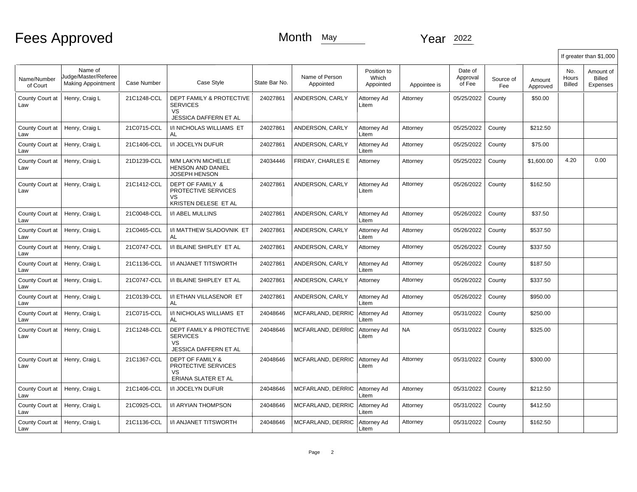Fees Approved

## Month May Year 2022

|                         |                                                              |             |                                                                                                     |               |                             |                                   |              |                               |                  |                    | If greater than \$1,000 |                                        |
|-------------------------|--------------------------------------------------------------|-------------|-----------------------------------------------------------------------------------------------------|---------------|-----------------------------|-----------------------------------|--------------|-------------------------------|------------------|--------------------|-------------------------|----------------------------------------|
| Name/Number<br>of Court | Name of<br>Judge/Master/Referee<br><b>Making Appointment</b> | Case Number | Case Style                                                                                          | State Bar No. | Name of Person<br>Appointed | Position to<br>Which<br>Appointed | Appointee is | Date of<br>Approval<br>of Fee | Source of<br>Fee | Amount<br>Approved | No.<br>Hours<br>Billed  | Amount of<br><b>Billed</b><br>Expenses |
| County Court at<br>Law  | Henry, Craig L                                               | 21C1248-CCL | <b>DEPT FAMILY &amp; PROTECTIVE</b><br><b>SERVICES</b><br><b>VS</b><br>JESSICA DAFFERN ET AL        | 24027861      | ANDERSON, CARLY             | Attorney Ad<br>Litem              | Attorney     | 05/25/2022                    | County           | \$50.00            |                         |                                        |
| County Court at<br>Law  | Henry, Craig L                                               | 21C0715-CCL | <b>I/I NICHOLAS WILLIAMS ET</b><br>AL                                                               | 24027861      | ANDERSON, CARLY             | Attorney Ad<br>Litem              | Attorney     | 05/25/2022                    | County           | \$212.50           |                         |                                        |
| County Court at<br>Law  | Henry, Craig L                                               | 21C1406-CCL | I/I JOCELYN DUFUR                                                                                   | 24027861      | ANDERSON, CARLY             | Attorney Ad<br>Litem              | Attorney     | 05/25/2022                    | County           | \$75.00            |                         |                                        |
| County Court at<br>Law  | Henry, Craig L                                               | 21D1239-CCL | M/M LAKYN MICHELLE<br><b>HENSON AND DANIEL</b><br>JOSEPH HENSON                                     | 24034446      | FRIDAY, CHARLES E           | Attorney                          | Attorney     | 05/25/2022                    | County           | \$1,600.00         | 4.20                    | 0.00                                   |
| County Court at<br>Law  | Henry, Craig L                                               | 21C1412-CCL | <b>DEPT OF FAMILY &amp;</b><br>PROTECTIVE SERVICES<br>VS<br>KRISTEN DELESE ET AL                    | 24027861      | ANDERSON, CARLY             | Attorney Ad<br>Litem              | Attorney     | 05/26/2022                    | County           | \$162.50           |                         |                                        |
| County Court at<br>Law  | Henry, Craig L                                               | 21C0048-CCL | <b>I/I ABEL MULLINS</b>                                                                             | 24027861      | ANDERSON, CARLY             | Attorney Ad<br>Litem              | Attorney     | 05/26/2022                    | County           | \$37.50            |                         |                                        |
| County Court at<br>Law  | Henry, Craig L                                               | 21C0465-CCL | I/I MATTHEW SLADOVNIK ET<br>AL                                                                      | 24027861      | ANDERSON. CARLY             | Attorney Ad<br>Litem              | Attorney     | 05/26/2022                    | County           | \$537.50           |                         |                                        |
| County Court at<br>Law  | Henry, Craig L                                               | 21C0747-CCL | I/I BLAINE SHIPLEY ET AL                                                                            | 24027861      | ANDERSON, CARLY             | Attorney                          | Attorney     | 05/26/2022                    | County           | \$337.50           |                         |                                        |
| County Court at<br>Law  | Henry, Craig L                                               | 21C1136-CCL | I/I ANJANET TITSWORTH                                                                               | 24027861      | ANDERSON, CARLY             | Attorney Ad<br>Litem              | Attorney     | 05/26/2022                    | County           | \$187.50           |                         |                                        |
| County Court at<br>Law  | Henry, Craig L.                                              | 21C0747-CCL | I/I BLAINE SHIPLEY ET AL                                                                            | 24027861      | ANDERSON, CARLY             | Attorney                          | Attorney     | 05/26/2022                    | County           | \$337.50           |                         |                                        |
| County Court at<br>Law  | Henry, Craig L                                               | 21C0139-CCL | I/I ETHAN VILLASENOR ET<br>AL                                                                       | 24027861      | ANDERSON, CARLY             | Attorney Ad<br>Litem              | Attorney     | 05/26/2022                    | County           | \$950.00           |                         |                                        |
| County Court at<br>Law  | Henry, Craig L                                               | 21C0715-CCL | I/I NICHOLAS WILLIAMS ET<br>AL                                                                      | 24048646      | MCFARLAND, DERRIC           | Attorney Ad<br>Litem              | Attorney     | 05/31/2022                    | County           | \$250.00           |                         |                                        |
| County Court at<br>Law  | Henry, Craig L                                               | 21C1248-CCL | <b>DEPT FAMILY &amp; PROTECTIVE</b><br><b>SERVICES</b><br><b>VS</b><br><b>JESSICA DAFFERN ET AL</b> | 24048646      | MCFARLAND, DERRIC           | Attorney Ad<br>Litem              | <b>NA</b>    | 05/31/2022                    | County           | \$325.00           |                         |                                        |
| County Court at<br>Law  | Henry, Craig L                                               | 21C1367-CCL | <b>DEPT OF FAMILY &amp;</b><br>PROTECTIVE SERVICES<br>VS.<br>ERIANA SLATER ET AL                    | 24048646      | MCFARLAND, DERRIC           | Attorney Ad<br>Litem              | Attornev     | 05/31/2022                    | County           | \$300.00           |                         |                                        |
| County Court at<br>Law  | Henry, Craig L                                               | 21C1406-CCL | I/I JOCELYN DUFUR                                                                                   | 24048646      | MCFARLAND, DERRIC           | Attorney Ad<br>Litem              | Attorney     | 05/31/2022                    | County           | \$212.50           |                         |                                        |
| County Court at<br>Law  | Henry, Craig L                                               | 21C0925-CCL | I/I ARYIAN THOMPSON                                                                                 | 24048646      | MCFARLAND, DERRIC           | Attorney Ad<br>Litem              | Attorney     | 05/31/2022                    | County           | \$412.50           |                         |                                        |
| County Court at<br>Law  | Henry, Craig L                                               | 21C1136-CCL | <b>I/I ANJANET TITSWORTH</b>                                                                        | 24048646      | MCFARLAND, DERRIC           | Attorney Ad<br>Litem              | Attorney     | 05/31/2022                    | County           | \$162.50           |                         |                                        |